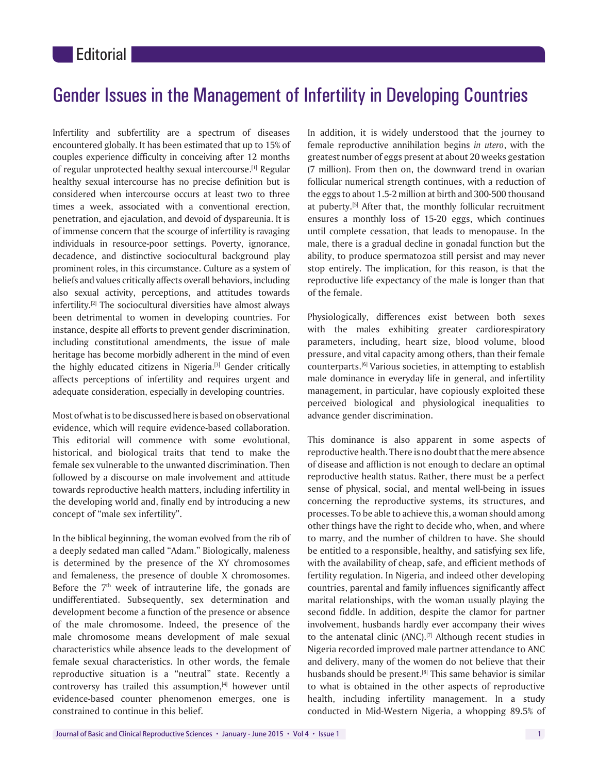## Gender Issues in the Management of Infertility in Developing Countries

Infertility and subfertility are a spectrum of diseases encountered globally. It has been estimated that up to 15% of couples experience difficulty in conceiving after 12 months of regular unprotected healthy sexual intercourse.[1] Regular healthy sexual intercourse has no precise definition but is considered when intercourse occurs at least two to three times a week, associated with a conventional erection, penetration, and ejaculation, and devoid of dyspareunia. It is of immense concern that the scourge of infertility is ravaging individuals in resource‑poor settings. Poverty, ignorance, decadence, and distinctive sociocultural background play prominent roles, in this circumstance. Culture as a system of beliefs and values critically affects overall behaviors, including also sexual activity, perceptions, and attitudes towards infertility.<sup>[2]</sup> The sociocultural diversities have almost always been detrimental to women in developing countries. For instance, despite all efforts to prevent gender discrimination, including constitutional amendments, the issue of male heritage has become morbidly adherent in the mind of even the highly educated citizens in Nigeria.[3] Gender critically affects perceptions of infertility and requires urgent and adequate consideration, especially in developing countries.

Most of what is to be discussed here is based on observational evidence, which will require evidence‑based collaboration. This editorial will commence with some evolutional, historical, and biological traits that tend to make the female sex vulnerable to the unwanted discrimination. Then followed by a discourse on male involvement and attitude towards reproductive health matters, including infertility in the developing world and, finally end by introducing a new concept of "male sex infertility".

In the biblical beginning, the woman evolved from the rib of a deeply sedated man called "Adam." Biologically, maleness is determined by the presence of the XY chromosomes and femaleness, the presence of double X chromosomes. Before the  $7<sup>th</sup>$  week of intrauterine life, the gonads are undifferentiated. Subsequently, sex determination and development become a function of the presence or absence of the male chromosome. Indeed, the presence of the male chromosome means development of male sexual characteristics while absence leads to the development of female sexual characteristics. In other words, the female reproductive situation is a "neutral" state. Recently a controversy has trailed this assumption,<sup>[4]</sup> however until evidence-based counter phenomenon emerges, one is constrained to continue in this belief.

In addition, it is widely understood that the journey to female reproductive annihilation begins *in utero*, with the greatest number of eggs present at about 20 weeks gestation (7 million). From then on, the downward trend in ovarian follicular numerical strength continues, with a reduction of the eggs to about 1.5‑2 million at birth and 300‑500 thousand at puberty.[5] After that, the monthly follicular recruitment ensures a monthly loss of 15-20 eggs, which continues until complete cessation, that leads to menopause. In the male, there is a gradual decline in gonadal function but the ability, to produce spermatozoa still persist and may never stop entirely. The implication, for this reason, is that the reproductive life expectancy of the male is longer than that of the female.

Physiologically, differences exist between both sexes with the males exhibiting greater cardiorespiratory parameters, including, heart size, blood volume, blood pressure, and vital capacity among others, than their female counterparts.[6] Various societies, in attempting to establish male dominance in everyday life in general, and infertility management, in particular, have copiously exploited these perceived biological and physiological inequalities to advance gender discrimination.

This dominance is also apparent in some aspects of reproductive health. There is no doubt that the mere absence of disease and affliction is not enough to declare an optimal reproductive health status. Rather, there must be a perfect sense of physical, social, and mental well-being in issues concerning the reproductive systems, its structures, and processes. To be able to achieve this, a woman should among other things have the right to decide who, when, and where to marry, and the number of children to have. She should be entitled to a responsible, healthy, and satisfying sex life, with the availability of cheap, safe, and efficient methods of fertility regulation. In Nigeria, and indeed other developing countries, parental and family influences significantly affect marital relationships, with the woman usually playing the second fiddle. In addition, despite the clamor for partner involvement, husbands hardly ever accompany their wives to the antenatal clinic (ANC).[7] Although recent studies in Nigeria recorded improved male partner attendance to ANC and delivery, many of the women do not believe that their husbands should be present.<sup>[8]</sup> This same behavior is similar to what is obtained in the other aspects of reproductive health, including infertility management. In a study conducted in Mid‑Western Nigeria, a whopping 89.5% of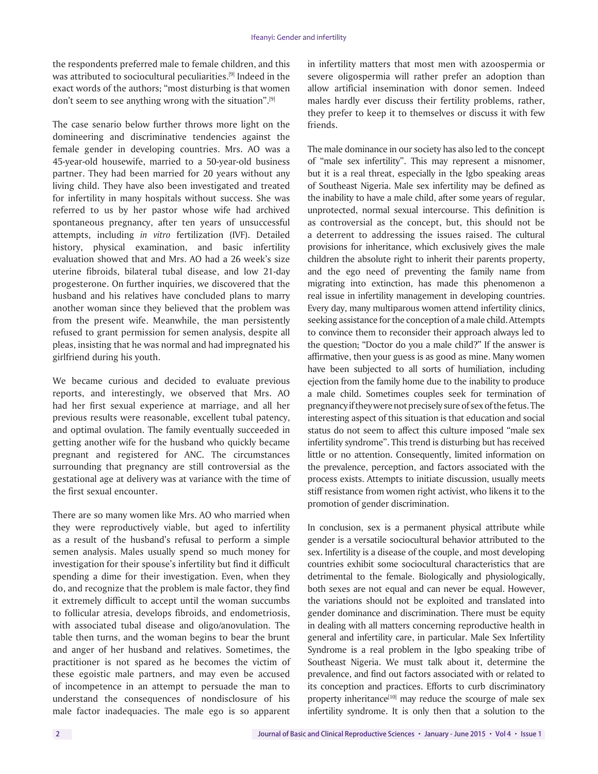the respondents preferred male to female children, and this was attributed to sociocultural peculiarities.<sup>[9]</sup> Indeed in the exact words of the authors; "most disturbing is that women don't seem to see anything wrong with the situation".[9]

The case senario below further throws more light on the domineering and discriminative tendencies against the female gender in developing countries. Mrs. AO was a 45‑year‑old housewife, married to a 50‑year‑old business partner. They had been married for 20 years without any living child. They have also been investigated and treated for infertility in many hospitals without success. She was referred to us by her pastor whose wife had archived spontaneous pregnancy, after ten years of unsuccessful attempts, including *in vitro* fertilization (IVF). Detailed history, physical examination, and basic infertility evaluation showed that and Mrs. AO had a 26 week's size uterine fibroids, bilateral tubal disease, and low 21‑day progesterone. On further inquiries, we discovered that the husband and his relatives have concluded plans to marry another woman since they believed that the problem was from the present wife. Meanwhile, the man persistently refused to grant permission for semen analysis, despite all pleas, insisting that he was normal and had impregnated his girlfriend during his youth.

We became curious and decided to evaluate previous reports, and interestingly, we observed that Mrs. AO had her first sexual experience at marriage, and all her previous results were reasonable, excellent tubal patency, and optimal ovulation. The family eventually succeeded in getting another wife for the husband who quickly became pregnant and registered for ANC. The circumstances surrounding that pregnancy are still controversial as the gestational age at delivery was at variance with the time of the first sexual encounter.

There are so many women like Mrs. AO who married when they were reproductively viable, but aged to infertility as a result of the husband's refusal to perform a simple semen analysis. Males usually spend so much money for investigation for their spouse's infertility but find it difficult spending a dime for their investigation. Even, when they do, and recognize that the problem is male factor, they find it extremely difficult to accept until the woman succumbs to follicular atresia, develops fibroids, and endometriosis, with associated tubal disease and oligo/anovulation. The table then turns, and the woman begins to bear the brunt and anger of her husband and relatives. Sometimes, the practitioner is not spared as he becomes the victim of these egoistic male partners, and may even be accused of incompetence in an attempt to persuade the man to understand the consequences of nondisclosure of his male factor inadequacies. The male ego is so apparent

in infertility matters that most men with azoospermia or severe oligospermia will rather prefer an adoption than allow artificial insemination with donor semen. Indeed males hardly ever discuss their fertility problems, rather, they prefer to keep it to themselves or discuss it with few friends.

The male dominance in our society has also led to the concept of "male sex infertility". This may represent a misnomer, but it is a real threat, especially in the Igbo speaking areas of Southeast Nigeria. Male sex infertility may be defined as the inability to have a male child, after some years of regular, unprotected, normal sexual intercourse. This definition is as controversial as the concept, but, this should not be a deterrent to addressing the issues raised. The cultural provisions for inheritance, which exclusively gives the male children the absolute right to inherit their parents property, and the ego need of preventing the family name from migrating into extinction, has made this phenomenon a real issue in infertility management in developing countries. Every day, many multiparous women attend infertility clinics, seeking assistance for the conception of a male child. Attempts to convince them to reconsider their approach always led to the question; "Doctor do you a male child?" If the answer is affirmative, then your guess is as good as mine. Many women have been subjected to all sorts of humiliation, including ejection from the family home due to the inability to produce a male child. Sometimes couples seek for termination of pregnancy if they were not precisely sure of sex of the fetus. The interesting aspect of this situation is that education and social status do not seem to affect this culture imposed "male sex infertility syndrome". This trend is disturbing but has received little or no attention. Consequently, limited information on the prevalence, perception, and factors associated with the process exists. Attempts to initiate discussion, usually meets stiff resistance from women right activist, who likens it to the promotion of gender discrimination.

In conclusion, sex is a permanent physical attribute while gender is a versatile sociocultural behavior attributed to the sex. Infertility is a disease of the couple, and most developing countries exhibit some sociocultural characteristics that are detrimental to the female. Biologically and physiologically, both sexes are not equal and can never be equal. However, the variations should not be exploited and translated into gender dominance and discrimination. There must be equity in dealing with all matters concerning reproductive health in general and infertility care, in particular. Male Sex Infertility Syndrome is a real problem in the Igbo speaking tribe of Southeast Nigeria. We must talk about it, determine the prevalence, and find out factors associated with or related to its conception and practices. Efforts to curb discriminatory property inheritance<sup>[10]</sup> may reduce the scourge of male sex infertility syndrome. It is only then that a solution to the